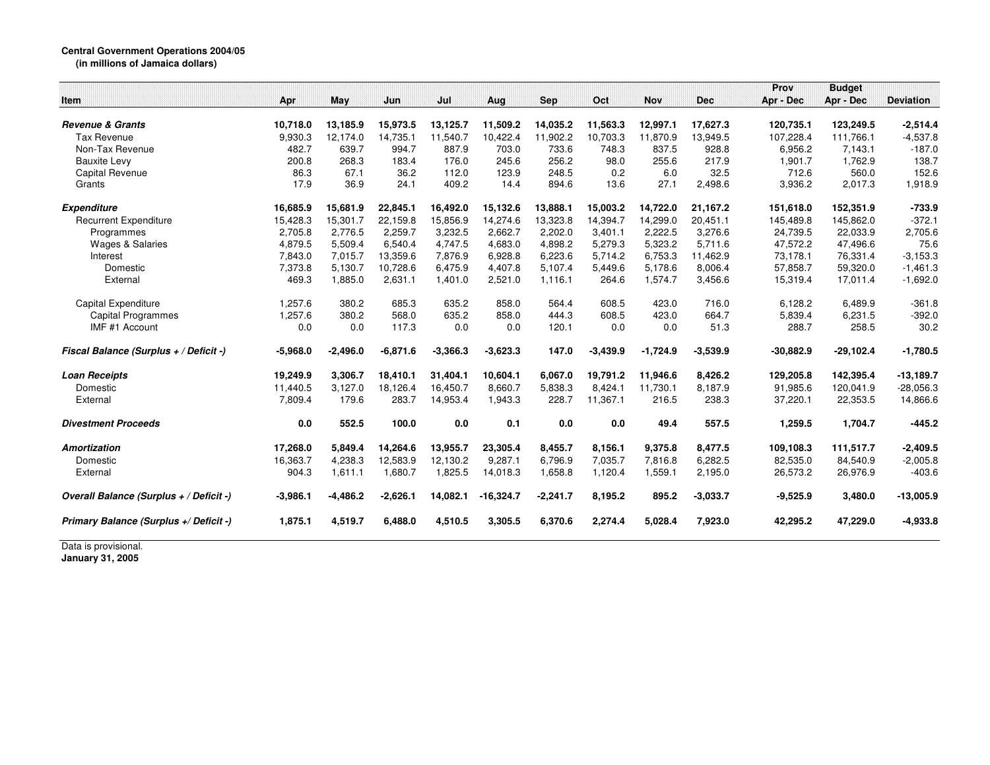## **Central Government Operations 2004/05**

**(in millions of Jamaica dollars)**

|                                         |               |               |               |                |               |                |             |             |               | Prov             | <b>Budget</b> |                  |
|-----------------------------------------|---------------|---------------|---------------|----------------|---------------|----------------|-------------|-------------|---------------|------------------|---------------|------------------|
| <b>Item</b>                             | Apr           | May           | Jun           | Jul            | Aug           | <b>Sep</b>     | Oct         | <b>Nov</b>  | <b>Dec</b>    | Apr - Dec        | Apr - Dec     | <b>Deviation</b> |
|                                         |               |               |               |                |               |                |             |             |               |                  |               |                  |
| <b>Revenue &amp; Grants</b>             | 10,718.0      | 13,185.9      | 15,973.5      | 13,125.7       | 11,509.2      | 14,035.2       | 11,563.3    | 12,997.1    | 17,627.3      | 120,735.1        | 123,249.5     | $-2,514.4$       |
| Tax Revenue                             | 9,930.3       | 12,174.0      | 14,735.1      | 11,540.7       | 10,422.4      | 11,902.2       | 10,703.3    | 11,870.9    | 13,949.5      | 107,228.4        | 111,766.1     | $-4,537.8$       |
| Non-Tax Revenue                         | 482.7         | 639.7         | 994.7         | 887.9          | 703.0         | 733.6          | 748.3       | 837.5       | 928.8         | 6,956.2          | 7,143.1       | $-187.0$         |
| <b>Bauxite Levy</b>                     | 200.8<br>86.3 | 268.3<br>67.1 | 183.4<br>36.2 | 176.0<br>112.0 | 245.6         | 256.2<br>248.5 | 98.0<br>0.2 | 255.6       | 217.9<br>32.5 | 1,901.7<br>712.6 | 1,762.9       | 138.7<br>152.6   |
| Capital Revenue                         | 17.9          | 36.9          | 24.1          | 409.2          | 123.9<br>14.4 | 894.6          | 13.6        | 6.0<br>27.1 |               |                  | 560.0         |                  |
| Grants                                  |               |               |               |                |               |                |             |             | 2,498.6       | 3,936.2          | 2,017.3       | 1,918.9          |
| <b>Expenditure</b>                      | 16,685.9      | 15,681.9      | 22,845.1      | 16,492.0       | 15,132.6      | 13,888.1       | 15,003.2    | 14,722.0    | 21,167.2      | 151,618.0        | 152,351.9     | $-733.9$         |
| <b>Recurrent Expenditure</b>            | 15,428.3      | 15,301.7      | 22,159.8      | 15,856.9       | 14,274.6      | 13,323.8       | 14,394.7    | 14,299.0    | 20,451.1      | 145,489.8        | 145,862.0     | $-372.1$         |
| Programmes                              | 2,705.8       | 2.776.5       | 2,259.7       | 3,232.5        | 2,662.7       | 2,202.0        | 3,401.1     | 2,222.5     | 3,276.6       | 24,739.5         | 22,033.9      | 2,705.6          |
| <b>Wages &amp; Salaries</b>             | 4,879.5       | 5,509.4       | 6,540.4       | 4,747.5        | 4.683.0       | 4,898.2        | 5,279.3     | 5,323.2     | 5,711.6       | 47,572.2         | 47,496.6      | 75.6             |
| Interest                                | 7,843.0       | 7.015.7       | 13,359.6      | 7.876.9        | 6,928.8       | 6,223.6        | 5.714.2     | 6,753.3     | 11,462.9      | 73.178.1         | 76,331.4      | $-3,153.3$       |
| Domestic                                | 7,373.8       | 5.130.7       | 10.728.6      | 6.475.9        | 4.407.8       | 5.107.4        | 5.449.6     | 5.178.6     | 8,006.4       | 57.858.7         | 59.320.0      | $-1,461.3$       |
| External                                | 469.3         | 1.885.0       | 2,631.1       | 1,401.0        | 2,521.0       | 1.116.1        | 264.6       | 1,574.7     | 3,456.6       | 15,319.4         | 17,011.4      | $-1,692.0$       |
| <b>Capital Expenditure</b>              | 1,257.6       | 380.2         | 685.3         | 635.2          | 858.0         | 564.4          | 608.5       | 423.0       | 716.0         | 6,128.2          | 6,489.9       | $-361.8$         |
| Capital Programmes                      | 1,257.6       | 380.2         | 568.0         | 635.2          | 858.0         | 444.3          | 608.5       | 423.0       | 664.7         | 5,839.4          | 6,231.5       | $-392.0$         |
| IMF #1 Account                          | 0.0           | 0.0           | 117.3         | 0.0            | 0.0           | 120.1          | 0.0         | 0.0         | 51.3          | 288.7            | 258.5         | 30.2             |
| Fiscal Balance (Surplus + / Deficit -)  | $-5,968.0$    | $-2,496.0$    | $-6,871.6$    | $-3,366.3$     | $-3,623.3$    | 147.0          | $-3,439.9$  | $-1,724.9$  | $-3,539.9$    | $-30,882.9$      | $-29,102.4$   | $-1,780.5$       |
| <b>Loan Receipts</b>                    | 19,249.9      | 3,306.7       | 18,410.1      | 31,404.1       | 10,604.1      | 6,067.0        | 19,791.2    | 11,946.6    | 8,426.2       | 129,205.8        | 142,395.4     | $-13,189.7$      |
| Domestic                                | 11,440.5      | 3,127.0       | 18,126.4      | 16,450.7       | 8,660.7       | 5,838.3        | 8.424.1     | 11,730.1    | 8,187.9       | 91,985.6         | 120,041.9     | $-28,056.3$      |
| External                                | 7,809.4       | 179.6         | 283.7         | 14,953.4       | 1,943.3       | 228.7          | 11,367.1    | 216.5       | 238.3         | 37,220.1         | 22,353.5      | 14,866.6         |
| <b>Divestment Proceeds</b>              | 0.0           | 552.5         | 100.0         | 0.0            | 0.1           | 0.0            | 0.0         | 49.4        | 557.5         | 1,259.5          | 1,704.7       | $-445.2$         |
| <b>Amortization</b>                     | 17,268.0      | 5,849.4       | 14,264.6      | 13,955.7       | 23,305.4      | 8,455.7        | 8,156.1     | 9,375.8     | 8,477.5       | 109,108.3        | 111,517.7     | $-2,409.5$       |
| Domestic                                | 16,363.7      | 4,238.3       | 12,583.9      | 12,130.2       | 9,287.1       | 6,796.9        | 7,035.7     | 7,816.8     | 6,282.5       | 82,535.0         | 84,540.9      | $-2,005.8$       |
| External                                | 904.3         | 1,611.1       | 1,680.7       | 1,825.5        | 14,018.3      | 1,658.8        | 1,120.4     | 1,559.1     | 2,195.0       | 26,573.2         | 26,976.9      | $-403.6$         |
| Overall Balance (Surplus + / Deficit -) | $-3,986.1$    | $-4,486.2$    | $-2,626.1$    | 14,082.1       | $-16,324.7$   | $-2,241.7$     | 8,195.2     | 895.2       | $-3.033.7$    | $-9,525.9$       | 3,480.0       | $-13,005.9$      |
| Primary Balance (Surplus +/ Deficit -)  | 1,875.1       | 4,519.7       | 6,488.0       | 4,510.5        | 3.305.5       | 6,370.6        | 2,274.4     | 5,028.4     | 7,923.0       | 42,295.2         | 47,229.0      | $-4,933.8$       |

Data is provisional. **January 31, 2005**